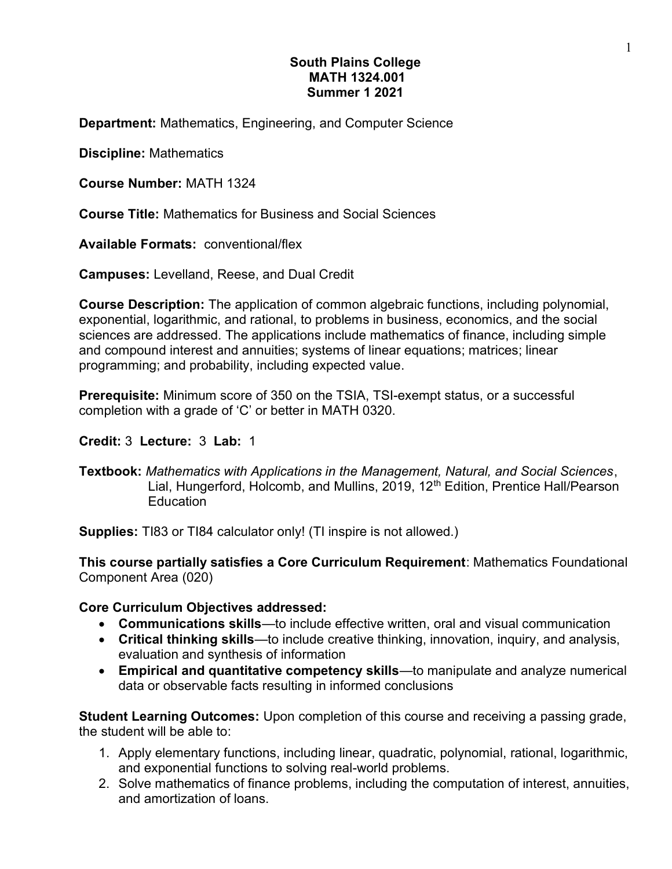## South Plains College MATH 1324.001 Summer 1 2021

Department: Mathematics, Engineering, and Computer Science

Discipline: Mathematics

Course Number: MATH 1324

Course Title: Mathematics for Business and Social Sciences

Available Formats: conventional/flex

Campuses: Levelland, Reese, and Dual Credit

Course Description: The application of common algebraic functions, including polynomial, exponential, logarithmic, and rational, to problems in business, economics, and the social sciences are addressed. The applications include mathematics of finance, including simple and compound interest and annuities; systems of linear equations; matrices; linear programming; and probability, including expected value.

Prerequisite: Minimum score of 350 on the TSIA, TSI-exempt status, or a successful completion with a grade of 'C' or better in MATH 0320.

## Credit: 3 Lecture: 3 Lab: 1

Textbook: Mathematics with Applications in the Management, Natural, and Social Sciences, Lial, Hungerford, Holcomb, and Mullins, 2019, 12<sup>th</sup> Edition, Prentice Hall/Pearson **Education** 

Supplies: TI83 or TI84 calculator only! (TI inspire is not allowed.)

This course partially satisfies a Core Curriculum Requirement: Mathematics Foundational Component Area (020)

## Core Curriculum Objectives addressed:

- Communications skills—to include effective written, oral and visual communication
- Critical thinking skills—to include creative thinking, innovation, inquiry, and analysis, evaluation and synthesis of information
- Empirical and quantitative competency skills—to manipulate and analyze numerical data or observable facts resulting in informed conclusions

Student Learning Outcomes: Upon completion of this course and receiving a passing grade, the student will be able to:

- 1. Apply elementary functions, including linear, quadratic, polynomial, rational, logarithmic, and exponential functions to solving real-world problems.
- 2. Solve mathematics of finance problems, including the computation of interest, annuities, and amortization of loans.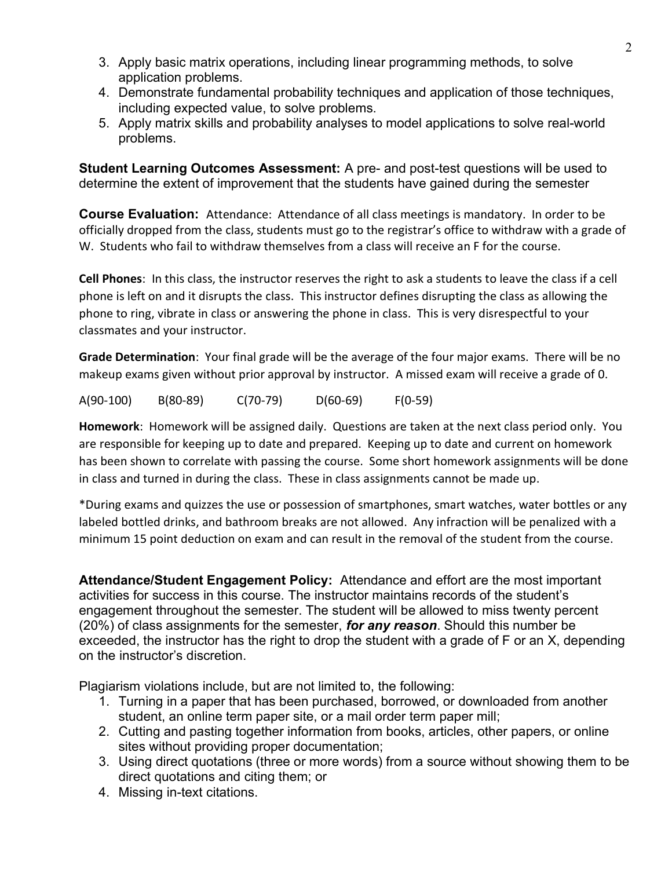- 3. Apply basic matrix operations, including linear programming methods, to solve application problems.
- 4. Demonstrate fundamental probability techniques and application of those techniques, including expected value, to solve problems.
- 5. Apply matrix skills and probability analyses to model applications to solve real-world problems.

Student Learning Outcomes Assessment: A pre- and post-test questions will be used to determine the extent of improvement that the students have gained during the semester

Course Evaluation: Attendance: Attendance of all class meetings is mandatory. In order to be officially dropped from the class, students must go to the registrar's office to withdraw with a grade of W. Students who fail to withdraw themselves from a class will receive an F for the course.

Cell Phones: In this class, the instructor reserves the right to ask a students to leave the class if a cell phone is left on and it disrupts the class. This instructor defines disrupting the class as allowing the phone to ring, vibrate in class or answering the phone in class. This is very disrespectful to your classmates and your instructor.

Grade Determination: Your final grade will be the average of the four major exams. There will be no makeup exams given without prior approval by instructor. A missed exam will receive a grade of 0.

A(90-100) B(80-89) C(70-79) D(60-69) F(0-59)

Homework: Homework will be assigned daily. Questions are taken at the next class period only. You are responsible for keeping up to date and prepared. Keeping up to date and current on homework has been shown to correlate with passing the course. Some short homework assignments will be done in class and turned in during the class. These in class assignments cannot be made up.

\*During exams and quizzes the use or possession of smartphones, smart watches, water bottles or any labeled bottled drinks, and bathroom breaks are not allowed. Any infraction will be penalized with a minimum 15 point deduction on exam and can result in the removal of the student from the course.

Attendance/Student Engagement Policy: Attendance and effort are the most important activities for success in this course. The instructor maintains records of the student's engagement throughout the semester. The student will be allowed to miss twenty percent  $(20%)$  of class assignments for the semester, **for any reason**. Should this number be exceeded, the instructor has the right to drop the student with a grade of F or an X, depending on the instructor's discretion.

Plagiarism violations include, but are not limited to, the following:

- 1. Turning in a paper that has been purchased, borrowed, or downloaded from another student, an online term paper site, or a mail order term paper mill;
- 2. Cutting and pasting together information from books, articles, other papers, or online sites without providing proper documentation;
- 3. Using direct quotations (three or more words) from a source without showing them to be direct quotations and citing them; or
- 4. Missing in-text citations.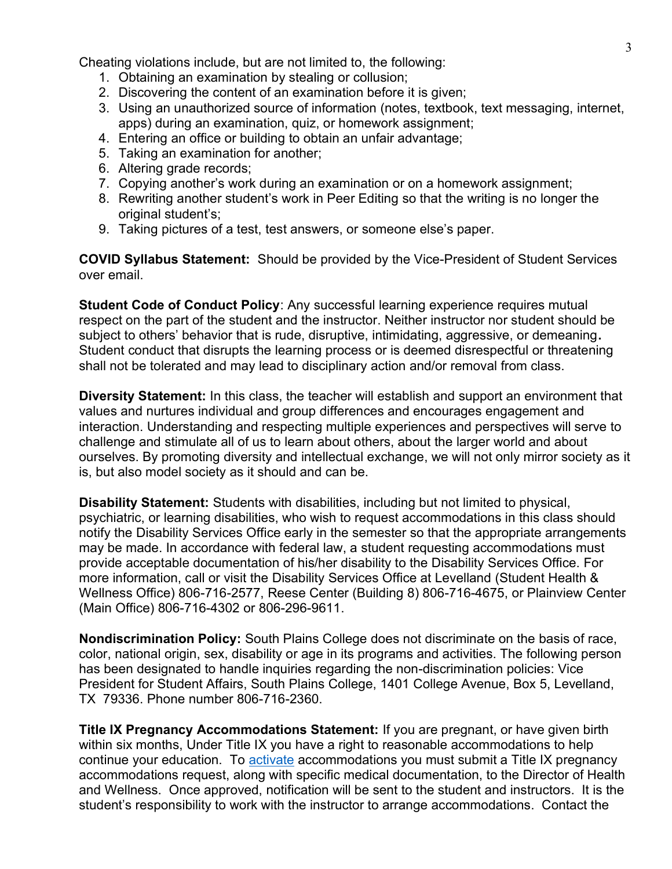Cheating violations include, but are not limited to, the following:

- 1. Obtaining an examination by stealing or collusion;
- 2. Discovering the content of an examination before it is given;
- 3. Using an unauthorized source of information (notes, textbook, text messaging, internet, apps) during an examination, quiz, or homework assignment;
- 4. Entering an office or building to obtain an unfair advantage;
- 5. Taking an examination for another;
- 6. Altering grade records;
- 7. Copying another's work during an examination or on a homework assignment;
- 8. Rewriting another student's work in Peer Editing so that the writing is no longer the original student's;
- 9. Taking pictures of a test, test answers, or someone else's paper.

COVID Syllabus Statement: Should be provided by the Vice-President of Student Services over email.

Student Code of Conduct Policy: Any successful learning experience requires mutual respect on the part of the student and the instructor. Neither instructor nor student should be subject to others' behavior that is rude, disruptive, intimidating, aggressive, or demeaning. Student conduct that disrupts the learning process or is deemed disrespectful or threatening shall not be tolerated and may lead to disciplinary action and/or removal from class.

Diversity Statement: In this class, the teacher will establish and support an environment that values and nurtures individual and group differences and encourages engagement and interaction. Understanding and respecting multiple experiences and perspectives will serve to challenge and stimulate all of us to learn about others, about the larger world and about ourselves. By promoting diversity and intellectual exchange, we will not only mirror society as it is, but also model society as it should and can be.

Disability Statement: Students with disabilities, including but not limited to physical, psychiatric, or learning disabilities, who wish to request accommodations in this class should notify the Disability Services Office early in the semester so that the appropriate arrangements may be made. In accordance with federal law, a student requesting accommodations must provide acceptable documentation of his/her disability to the Disability Services Office. For more information, call or visit the Disability Services Office at Levelland (Student Health & Wellness Office) 806-716-2577, Reese Center (Building 8) 806-716-4675, or Plainview Center (Main Office) 806-716-4302 or 806-296-9611.

Nondiscrimination Policy: South Plains College does not discriminate on the basis of race, color, national origin, sex, disability or age in its programs and activities. The following person has been designated to handle inquiries regarding the non-discrimination policies: Vice President for Student Affairs, South Plains College, 1401 College Avenue, Box 5, Levelland, TX 79336. Phone number 806-716-2360.

Title IX Pregnancy Accommodations Statement: If you are pregnant, or have given birth within six months, Under Title IX you have a right to reasonable accommodations to help continue your education. To **activate** accommodations you must submit a Title IX pregnancy accommodations request, along with specific medical documentation, to the Director of Health and Wellness. Once approved, notification will be sent to the student and instructors. It is the student's responsibility to work with the instructor to arrange accommodations. Contact the